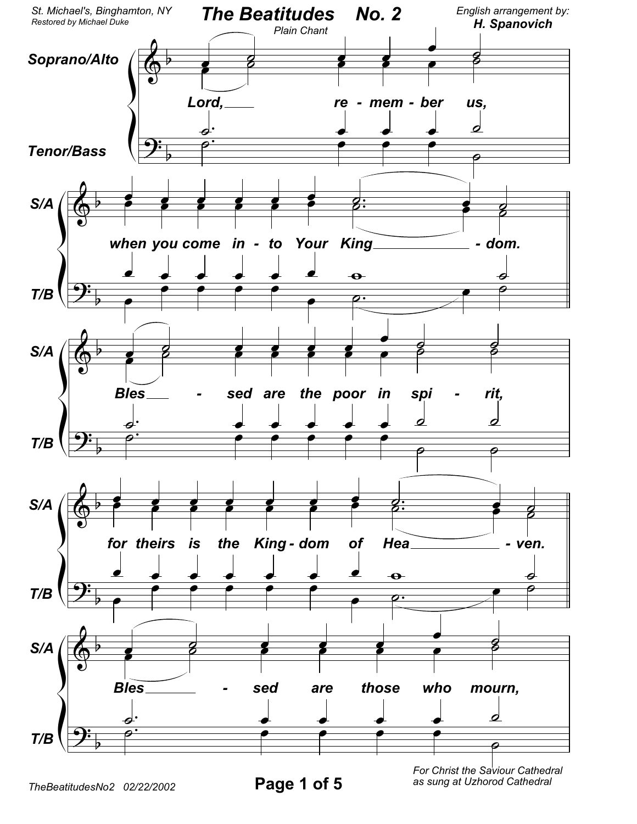

as sung at Uzhorod Cathedral

Page 1 of 5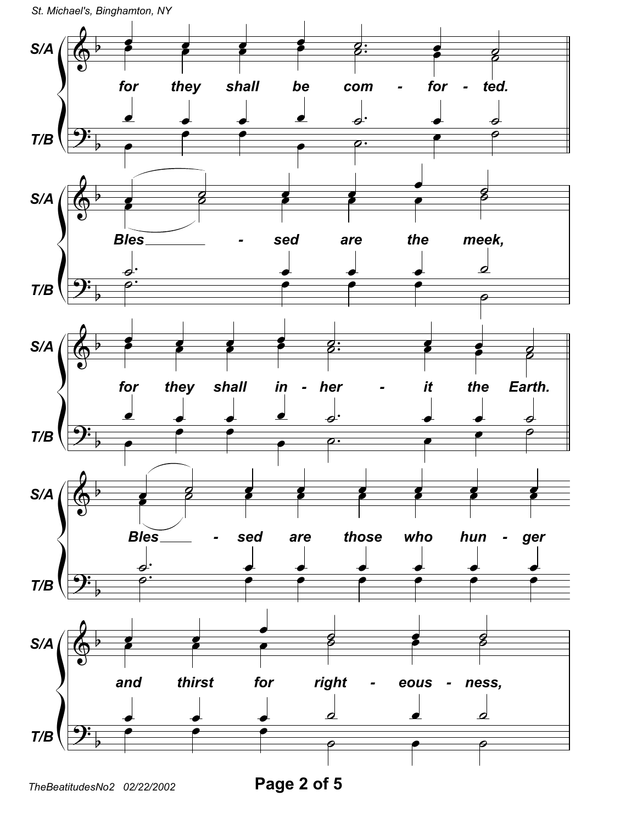

Page 2 of 5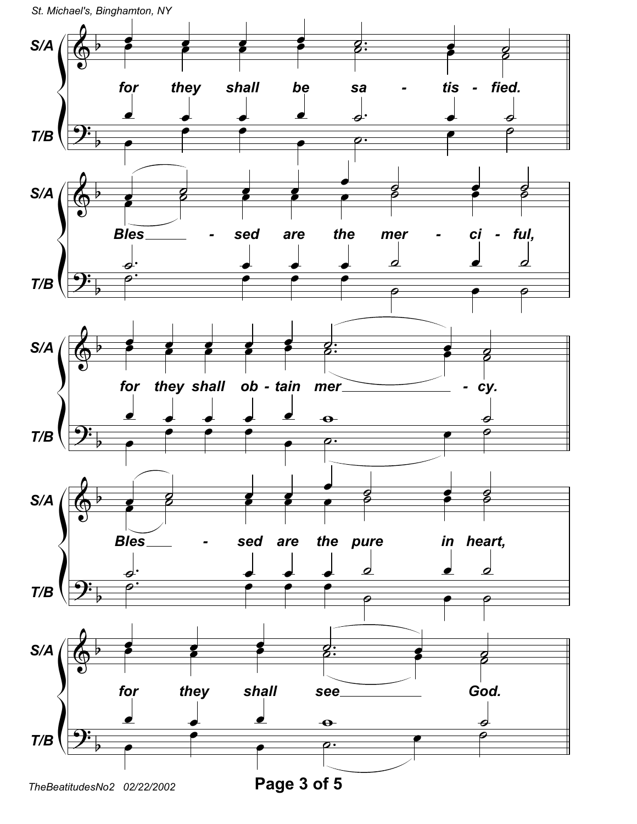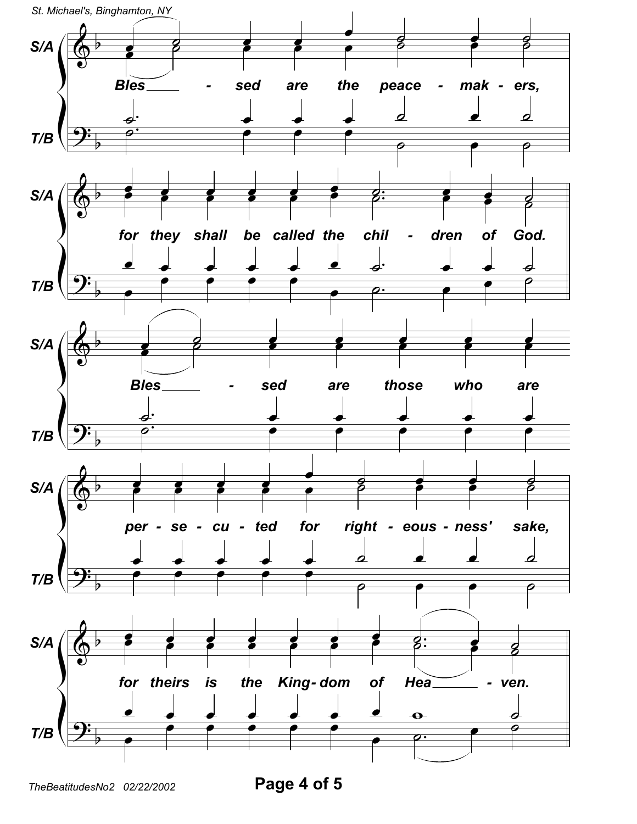